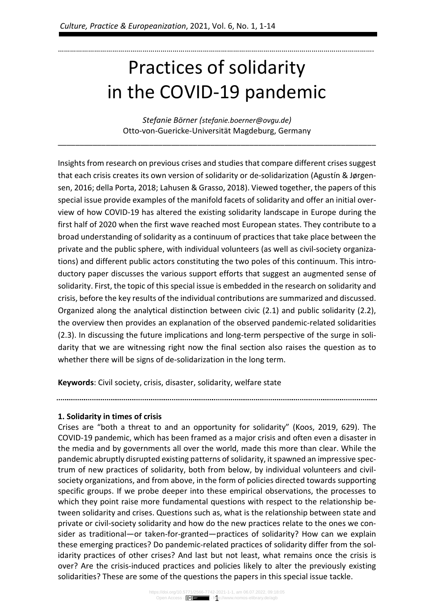# Practices of solidarity in the COVID-19 pandemic

………………………………………………………………………………………………………………………………………….

Stefanie Börner (stefanie.boerner@ovgu.de) Otto-von-Guericke-Universität Magdeburg, Germany

\_\_\_\_\_\_\_\_\_\_\_\_\_\_\_\_\_\_\_\_\_\_\_\_\_\_\_\_\_\_\_\_\_\_\_\_\_\_\_\_\_\_\_\_\_\_\_\_\_\_\_\_\_\_\_\_\_\_\_\_\_\_\_\_\_\_\_\_\_\_\_\_\_

Insights from research on previous crises and studies that compare different crises suggest that each crisis creates its own version of solidarity or de-solidarization (Agustín & Jørgensen, 2016; della Porta, 2018; Lahusen & Grasso, 2018). Viewed together, the papers of this special issue provide examples of the manifold facets of solidarity and offer an initial overview of how COVID-19 has altered the existing solidarity landscape in Europe during the first half of 2020 when the first wave reached most European states. They contribute to a broad understanding of solidarity as a continuum of practices that take place between the private and the public sphere, with individual volunteers (as well as civil-society organizations) and different public actors constituting the two poles of this continuum. This introductory paper discusses the various support efforts that suggest an augmented sense of solidarity. First, the topic of this special issue is embedded in the research on solidarity and crisis, before the key results of the individual contributions are summarized and discussed. Organized along the analytical distinction between civic (2.1) and public solidarity (2.2), the overview then provides an explanation of the observed pandemic-related solidarities (2.3). In discussing the future implications and long-term perspective of the surge in solidarity that we are witnessing right now the final section also raises the question as to whether there will be signs of de-solidarization in the long term.

Keywords: Civil society, crisis, disaster, solidarity, welfare state

## 1. Solidarity in times of crisis

Crises are "both a threat to and an opportunity for solidarity" (Koos, 2019, 629). The COVID-19 pandemic, which has been framed as a major crisis and often even a disaster in the media and by governments all over the world, made this more than clear. While the pandemic abruptly disrupted existing patterns of solidarity, it spawned an impressive spectrum of new practices of solidarity, both from below, by individual volunteers and civilsociety organizations, and from above, in the form of policies directed towards supporting specific groups. If we probe deeper into these empirical observations, the processes to which they point raise more fundamental questions with respect to the relationship between solidarity and crises. Questions such as, what is the relationship between state and private or civil-society solidarity and how do the new practices relate to the ones we consider as traditional—or taken-for-granted—practices of solidarity? How can we explain these emerging practices? Do pandemic-related practices of solidarity differ from the solidarity practices of other crises? And last but not least, what remains once the crisis is over? Are the crisis-induced practices and policies likely to alter the previously existing solidarities? These are some of the questions the papers in this special issue tackle.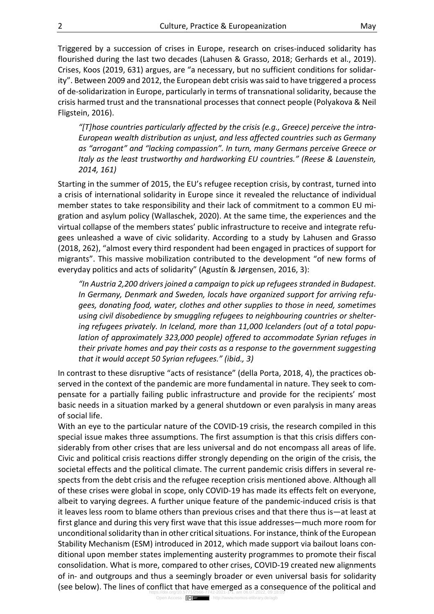Triggered by a succession of crises in Europe, research on crises-induced solidarity has flourished during the last two decades (Lahusen & Grasso, 2018; Gerhards et al., 2019). Crises, Koos (2019, 631) argues, are "a necessary, but no sufficient conditions for solidarity". Between 2009 and 2012, the European debt crisis was said to have triggered a process of de-solidarization in Europe, particularly in terms of transnational solidarity, because the crisis harmed trust and the transnational processes that connect people (Polyakova & Neil Fligstein, 2016).

"[T]hose countries particularly affected by the crisis (e.g., Greece) perceive the intra-European wealth distribution as unjust, and less affected countries such as Germany as "arrogant" and "lacking compassion". In turn, many Germans perceive Greece or Italy as the least trustworthy and hardworking EU countries." (Reese & Lauenstein, 2014, 161)

Starting in the summer of 2015, the EU's refugee reception crisis, by contrast, turned into a crisis of international solidarity in Europe since it revealed the reluctance of individual member states to take responsibility and their lack of commitment to a common EU migration and asylum policy (Wallaschek, 2020). At the same time, the experiences and the virtual collapse of the members states' public infrastructure to receive and integrate refugees unleashed a wave of civic solidarity. According to a study by Lahusen and Grasso (2018, 262), "almost every third respondent had been engaged in practices of support for migrants". This massive mobilization contributed to the development "of new forms of everyday politics and acts of solidarity" (Agustín & Jørgensen, 2016, 3):

"In Austria 2,200 drivers joined a campaign to pick up refugees stranded in Budapest. In Germany, Denmark and Sweden, locals have organized support for arriving refugees, donating food, water, clothes and other supplies to those in need, sometimes using civil disobedience by smuggling refugees to neighbouring countries or sheltering refugees privately. In Iceland, more than 11,000 Icelanders (out of a total population of approximately 323,000 people) offered to accommodate Syrian refuges in their private homes and pay their costs as a response to the government suggesting that it would accept 50 Syrian refugees." (ibid., 3)

In contrast to these disruptive "acts of resistance" (della Porta, 2018, 4), the practices observed in the context of the pandemic are more fundamental in nature. They seek to compensate for a partially failing public infrastructure and provide for the recipients' most basic needs in a situation marked by a general shutdown or even paralysis in many areas of social life.

With an eye to the particular nature of the COVID-19 crisis, the research compiled in this special issue makes three assumptions. The first assumption is that this crisis differs considerably from other crises that are less universal and do not encompass all areas of life. Civic and political crisis reactions differ strongly depending on the origin of the crisis, the societal effects and the political climate. The current pandemic crisis differs in several respects from the debt crisis and the refugee reception crisis mentioned above. Although all of these crises were global in scope, only COVID-19 has made its effects felt on everyone, albeit to varying degrees. A further unique feature of the pandemic-induced crisis is that it leaves less room to blame others than previous crises and that there thus is—at least at first glance and during this very first wave that this issue addresses—much more room for unconditional solidarity than in other critical situations. For instance, think of the European Stability Mechanism (ESM) introduced in 2012, which made support via bailout loans conditional upon member states implementing austerity programmes to promote their fiscal consolidation. What is more, compared to other crises, COVID-19 created new alignments of in- and outgroups and thus a seemingly broader or even universal basis for solidarity (see below). The lines of conflict that have emerged as a consequence of the political and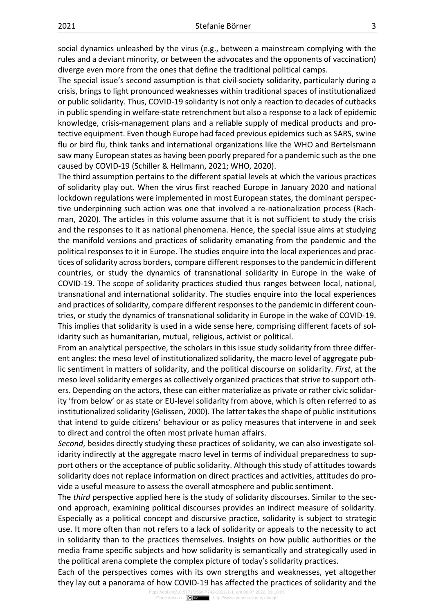social dynamics unleashed by the virus (e.g., between a mainstream complying with the rules and a deviant minority, or between the advocates and the opponents of vaccination) diverge even more from the ones that define the traditional political camps.

The special issue's second assumption is that civil-society solidarity, particularly during a crisis, brings to light pronounced weaknesses within traditional spaces of institutionalized or public solidarity. Thus, COVID-19 solidarity is not only a reaction to decades of cutbacks in public spending in welfare-state retrenchment but also a response to a lack of epidemic knowledge, crisis-management plans and a reliable supply of medical products and protective equipment. Even though Europe had faced previous epidemics such as SARS, swine flu or bird flu, think tanks and international organizations like the WHO and Bertelsmann saw many European states as having been poorly prepared for a pandemic such as the one caused by COVID-19 (Schiller & Hellmann, 2021; WHO, 2020).

The third assumption pertains to the different spatial levels at which the various practices of solidarity play out. When the virus first reached Europe in January 2020 and national lockdown regulations were implemented in most European states, the dominant perspective underpinning such action was one that involved a re-nationalization process (Rachman, 2020). The articles in this volume assume that it is not sufficient to study the crisis and the responses to it as national phenomena. Hence, the special issue aims at studying the manifold versions and practices of solidarity emanating from the pandemic and the political responses to it in Europe. The studies enquire into the local experiences and practices of solidarity across borders, compare different responses to the pandemic in different countries, or study the dynamics of transnational solidarity in Europe in the wake of COVID-19. The scope of solidarity practices studied thus ranges between local, national, transnational and international solidarity. The studies enquire into the local experiences and practices of solidarity, compare different responses to the pandemic in different countries, or study the dynamics of transnational solidarity in Europe in the wake of COVID-19. This implies that solidarity is used in a wide sense here, comprising different facets of solidarity such as humanitarian, mutual, religious, activist or political.

From an analytical perspective, the scholars in this issue study solidarity from three different angles: the meso level of institutionalized solidarity, the macro level of aggregate public sentiment in matters of solidarity, and the political discourse on solidarity. First, at the meso level solidarity emerges as collectively organized practices that strive to support others. Depending on the actors, these can either materialize as private or rather civic solidarity 'from below' or as state or EU-level solidarity from above, which is often referred to as institutionalized solidarity (Gelissen, 2000). The latter takes the shape of public institutions that intend to guide citizens' behaviour or as policy measures that intervene in and seek to direct and control the often most private human affairs.

Second, besides directly studying these practices of solidarity, we can also investigate solidarity indirectly at the aggregate macro level in terms of individual preparedness to support others or the acceptance of public solidarity. Although this study of attitudes towards solidarity does not replace information on direct practices and activities, attitudes do provide a useful measure to assess the overall atmosphere and public sentiment.

The *third* perspective applied here is the study of solidarity discourses. Similar to the second approach, examining political discourses provides an indirect measure of solidarity. Especially as a political concept and discursive practice, solidarity is subject to strategic use. It more often than not refers to a lack of solidarity or appeals to the necessity to act in solidarity than to the practices themselves. Insights on how public authorities or the media frame specific subjects and how solidarity is semantically and strategically used in the political arena complete the complex picture of today's solidarity practices.

Each of the perspectives comes with its own strengths and weaknesses, yet altogether they lay out a panorama of how COVID-19 has affected the practices of solidarity and the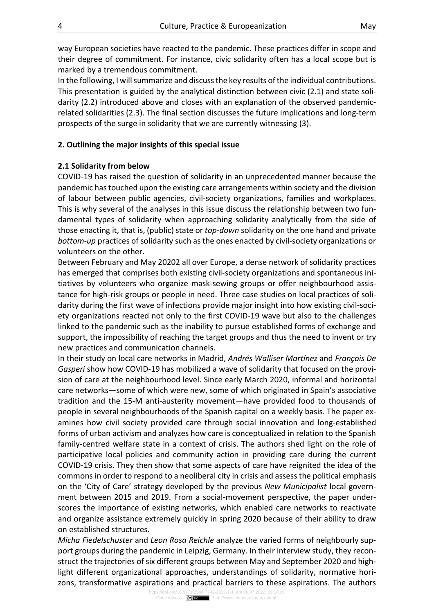way European societies have reacted to the pandemic. These practices differ in scope and their degree of commitment. For instance, civic solidarity often has a local scope but is marked by a tremendous commitment.

In the following, I will summarize and discuss the key results of the individual contributions. This presentation is guided by the analytical distinction between civic (2.1) and state solidarity (2.2) introduced above and closes with an explanation of the observed pandemicrelated solidarities (2.3). The final section discusses the future implications and long-term prospects of the surge in solidarity that we are currently witnessing (3).

## 2. Outlining the major insights of this special issue

### 2.1 Solidarity from below

COVID-19 has raised the question of solidarity in an unprecedented manner because the pandemic has touched upon the existing care arrangements within society and the division of labour between public agencies, civil-society organizations, families and workplaces. This is why several of the analyses in this issue discuss the relationship between two fundamental types of solidarity when approaching solidarity analytically from the side of those enacting it, that is, (public) state or top-down solidarity on the one hand and private bottom-up practices of solidarity such as the ones enacted by civil-society organizations or volunteers on the other.

Between February and May 20202 all over Europe, a dense network of solidarity practices has emerged that comprises both existing civil-society organizations and spontaneous initiatives by volunteers who organize mask-sewing groups or offer neighbourhood assistance for high-risk groups or people in need. Three case studies on local practices of solidarity during the first wave of infections provide major insight into how existing civil-society organizations reacted not only to the first COVID-19 wave but also to the challenges linked to the pandemic such as the inability to pursue established forms of exchange and support, the impossibility of reaching the target groups and thus the need to invent or try new practices and communication channels.

In their study on local care networks in Madrid, Andrés Walliser Martínez and François De Gasperi show how COVID-19 has mobilized a wave of solidarity that focused on the provision of care at the neighbourhood level. Since early March 2020, informal and horizontal care networks—some of which were new, some of which originated in Spain's associative tradition and the 15-M anti-austerity movement—have provided food to thousands of people in several neighbourhoods of the Spanish capital on a weekly basis. The paper examines how civil society provided care through social innovation and long-established forms of urban activism and analyzes how care is conceptualized in relation to the Spanish family-centred welfare state in a context of crisis. The authors shed light on the role of participative local policies and community action in providing care during the current COVID-19 crisis. They then show that some aspects of care have reignited the idea of the commons in order to respond to a neoliberal city in crisis and assess the political emphasis on the 'City of Care' strategy developed by the previous New Municipalist local government between 2015 and 2019. From a social-movement perspective, the paper underscores the importance of existing networks, which enabled care networks to reactivate and organize assistance extremely quickly in spring 2020 because of their ability to draw on established structures.

Micha Fiedelschuster and Leon Rosa Reichle analyze the varied forms of neighbourly support groups during the pandemic in Leipzig, Germany. In their interview study, they reconstruct the trajectories of six different groups between May and September 2020 and highlight different organizational approaches, understandings of solidarity, normative horizons, transformative aspirations and practical barriers to these aspirations. The authors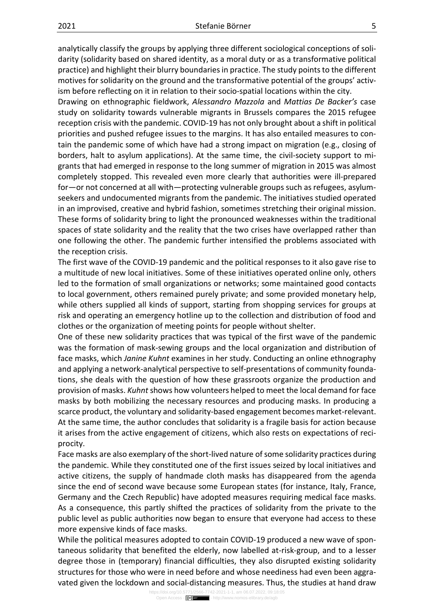analytically classify the groups by applying three different sociological conceptions of solidarity (solidarity based on shared identity, as a moral duty or as a transformative political practice) and highlight their blurry boundaries in practice. The study points to the different motives for solidarity on the ground and the transformative potential of the groups' activism before reflecting on it in relation to their socio-spatial locations within the city.

Drawing on ethnographic fieldwork, Alessandro Mazzola and Mattias De Backer's case study on solidarity towards vulnerable migrants in Brussels compares the 2015 refugee reception crisis with the pandemic. COVID-19 has not only brought about a shift in political priorities and pushed refugee issues to the margins. It has also entailed measures to contain the pandemic some of which have had a strong impact on migration (e.g., closing of borders, halt to asylum applications). At the same time, the civil-society support to migrants that had emerged in response to the long summer of migration in 2015 was almost completely stopped. This revealed even more clearly that authorities were ill-prepared for—or not concerned at all with—protecting vulnerable groups such as refugees, asylumseekers and undocumented migrants from the pandemic. The initiatives studied operated in an improvised, creative and hybrid fashion, sometimes stretching their original mission. These forms of solidarity bring to light the pronounced weaknesses within the traditional spaces of state solidarity and the reality that the two crises have overlapped rather than one following the other. The pandemic further intensified the problems associated with the reception crisis.

The first wave of the COVID-19 pandemic and the political responses to it also gave rise to a multitude of new local initiatives. Some of these initiatives operated online only, others led to the formation of small organizations or networks; some maintained good contacts to local government, others remained purely private; and some provided monetary help, while others supplied all kinds of support, starting from shopping services for groups at risk and operating an emergency hotline up to the collection and distribution of food and clothes or the organization of meeting points for people without shelter.

One of these new solidarity practices that was typical of the first wave of the pandemic was the formation of mask-sewing groups and the local organization and distribution of face masks, which Janine Kuhnt examines in her study. Conducting an online ethnography and applying a network-analytical perspective to self-presentations of community foundations, she deals with the question of how these grassroots organize the production and provision of masks. Kuhnt shows how volunteers helped to meet the local demand for face masks by both mobilizing the necessary resources and producing masks. In producing a scarce product, the voluntary and solidarity-based engagement becomes market-relevant. At the same time, the author concludes that solidarity is a fragile basis for action because it arises from the active engagement of citizens, which also rests on expectations of reciprocity.

Face masks are also exemplary of the short-lived nature of some solidarity practices during the pandemic. While they constituted one of the first issues seized by local initiatives and active citizens, the supply of handmade cloth masks has disappeared from the agenda since the end of second wave because some European states (for instance, Italy, France, Germany and the Czech Republic) have adopted measures requiring medical face masks. As a consequence, this partly shifted the practices of solidarity from the private to the public level as public authorities now began to ensure that everyone had access to these more expensive kinds of face masks.

While the political measures adopted to contain COVID-19 produced a new wave of spontaneous solidarity that benefited the elderly, now labelled at-risk-group, and to a lesser degree those in (temporary) financial difficulties, they also disrupted existing solidarity structures for those who were in need before and whose neediness had even been aggravated given the lockdown and social-distancing measures. Thus, the studies at hand draw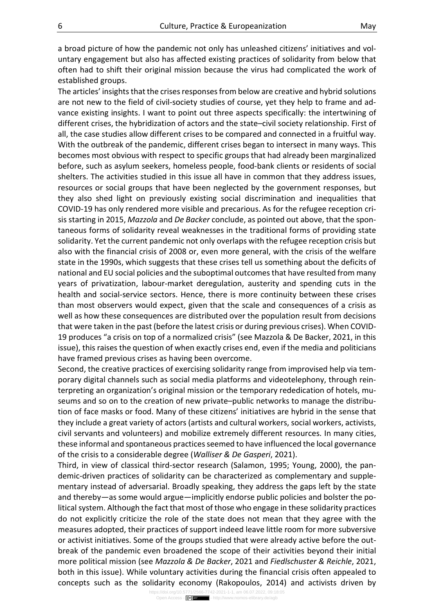a broad picture of how the pandemic not only has unleashed citizens' initiatives and voluntary engagement but also has affected existing practices of solidarity from below that often had to shift their original mission because the virus had complicated the work of established groups.

The articles' insights that the crises responses from below are creative and hybrid solutions are not new to the field of civil-society studies of course, yet they help to frame and advance existing insights. I want to point out three aspects specifically: the intertwining of different crises, the hybridization of actors and the state–civil society relationship. First of all, the case studies allow different crises to be compared and connected in a fruitful way. With the outbreak of the pandemic, different crises began to intersect in many ways. This becomes most obvious with respect to specific groups that had already been marginalized before, such as asylum seekers, homeless people, food-bank clients or residents of social shelters. The activities studied in this issue all have in common that they address issues, resources or social groups that have been neglected by the government responses, but they also shed light on previously existing social discrimination and inequalities that COVID-19 has only rendered more visible and precarious. As for the refugee reception crisis starting in 2015, Mazzola and De Backer conclude, as pointed out above, that the spontaneous forms of solidarity reveal weaknesses in the traditional forms of providing state solidarity. Yet the current pandemic not only overlaps with the refugee reception crisis but also with the financial crisis of 2008 or, even more general, with the crisis of the welfare state in the 1990s, which suggests that these crises tell us something about the deficits of national and EU social policies and the suboptimal outcomes that have resulted from many years of privatization, labour-market deregulation, austerity and spending cuts in the health and social-service sectors. Hence, there is more continuity between these crises than most observers would expect, given that the scale and consequences of a crisis as well as how these consequences are distributed over the population result from decisions that were taken in the past (before the latest crisis or during previous crises). When COVID-19 produces "a crisis on top of a normalized crisis" (see Mazzola & De Backer, 2021, in this issue), this raises the question of when exactly crises end, even if the media and politicians have framed previous crises as having been overcome.

Second, the creative practices of exercising solidarity range from improvised help via temporary digital channels such as social media platforms and videotelephony, through reinterpreting an organization's original mission or the temporary rededication of hotels, museums and so on to the creation of new private–public networks to manage the distribution of face masks or food. Many of these citizens' initiatives are hybrid in the sense that they include a great variety of actors (artists and cultural workers, social workers, activists, civil servants and volunteers) and mobilize extremely different resources. In many cities, these informal and spontaneous practices seemed to have influenced the local governance of the crisis to a considerable degree (Walliser & De Gasperi, 2021).

Third, in view of classical third-sector research (Salamon, 1995; Young, 2000), the pandemic-driven practices of solidarity can be characterized as complementary and supplementary instead of adversarial. Broadly speaking, they address the gaps left by the state and thereby—as some would argue—implicitly endorse public policies and bolster the political system. Although the fact that most of those who engage in these solidarity practices do not explicitly criticize the role of the state does not mean that they agree with the measures adopted, their practices of support indeed leave little room for more subversive or activist initiatives. Some of the groups studied that were already active before the outbreak of the pandemic even broadened the scope of their activities beyond their initial more political mission (see Mazzola & De Backer, 2021 and Fiedlschuster & Reichle, 2021, both in this issue). While voluntary activities during the financial crisis often appealed to concepts such as the solidarity economy (Rakopoulos, 2014) and activists driven by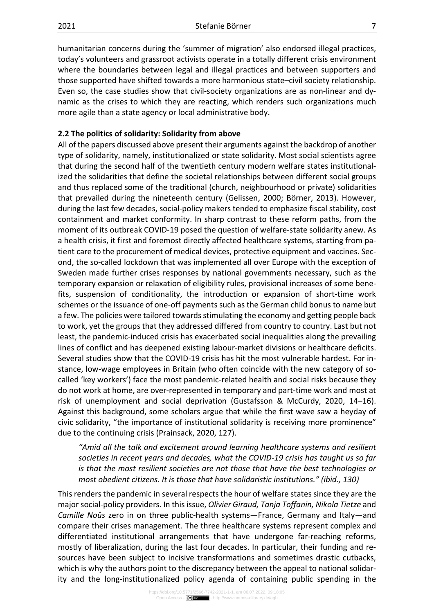humanitarian concerns during the 'summer of migration' also endorsed illegal practices, today's volunteers and grassroot activists operate in a totally different crisis environment where the boundaries between legal and illegal practices and between supporters and those supported have shifted towards a more harmonious state–civil society relationship. Even so, the case studies show that civil-society organizations are as non-linear and dynamic as the crises to which they are reacting, which renders such organizations much more agile than a state agency or local administrative body.

#### 2.2 The politics of solidarity: Solidarity from above

All of the papers discussed above present their arguments against the backdrop of another type of solidarity, namely, institutionalized or state solidarity. Most social scientists agree that during the second half of the twentieth century modern welfare states institutionalized the solidarities that define the societal relationships between different social groups and thus replaced some of the traditional (church, neighbourhood or private) solidarities that prevailed during the nineteenth century (Gelissen, 2000; Börner, 2013). However, during the last few decades, social-policy makers tended to emphasize fiscal stability, cost containment and market conformity. In sharp contrast to these reform paths, from the moment of its outbreak COVID-19 posed the question of welfare-state solidarity anew. As a health crisis, it first and foremost directly affected healthcare systems, starting from patient care to the procurement of medical devices, protective equipment and vaccines. Second, the so-called lockdown that was implemented all over Europe with the exception of Sweden made further crises responses by national governments necessary, such as the temporary expansion or relaxation of eligibility rules, provisional increases of some benefits, suspension of conditionality, the introduction or expansion of short-time work schemes or the issuance of one-off payments such as the German child bonus to name but a few. The policies were tailored towards stimulating the economy and getting people back to work, yet the groups that they addressed differed from country to country. Last but not least, the pandemic-induced crisis has exacerbated social inequalities along the prevailing lines of conflict and has deepened existing labour-market divisions or healthcare deficits. Several studies show that the COVID-19 crisis has hit the most vulnerable hardest. For instance, low-wage employees in Britain (who often coincide with the new category of socalled 'key workers') face the most pandemic-related health and social risks because they do not work at home, are over-represented in temporary and part-time work and most at risk of unemployment and social deprivation (Gustafsson & McCurdy, 2020, 14–16). Against this background, some scholars argue that while the first wave saw a heyday of civic solidarity, "the importance of institutional solidarity is receiving more prominence" due to the continuing crisis (Prainsack, 2020, 127).

"Amid all the talk and excitement around learning healthcare systems and resilient societies in recent years and decades, what the COVID-19 crisis has taught us so far is that the most resilient societies are not those that have the best technologies or most obedient citizens. It is those that have solidaristic institutions." (ibid., 130)

This renders the pandemic in several respects the hour of welfare states since they are the major social-policy providers. In this issue, Olivier Giraud, Tanja Toffanin, Nikola Tietze and Camille Noûs zero in on three public-health systems—France, Germany and Italy—and compare their crises management. The three healthcare systems represent complex and differentiated institutional arrangements that have undergone far-reaching reforms, mostly of liberalization, during the last four decades. In particular, their funding and resources have been subject to incisive transformations and sometimes drastic cutbacks, which is why the authors point to the discrepancy between the appeal to national solidarity and the long-institutionalized policy agenda of containing public spending in the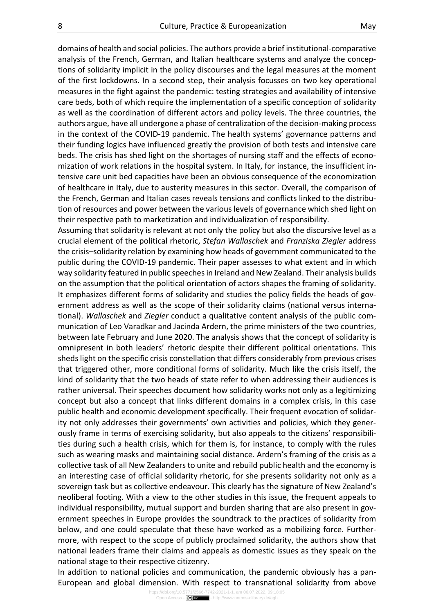domains of health and social policies. The authors provide a brief institutional-comparative analysis of the French, German, and Italian healthcare systems and analyze the conceptions of solidarity implicit in the policy discourses and the legal measures at the moment of the first lockdowns. In a second step, their analysis focusses on two key operational measures in the fight against the pandemic: testing strategies and availability of intensive care beds, both of which require the implementation of a specific conception of solidarity as well as the coordination of different actors and policy levels. The three countries, the authors argue, have all undergone a phase of centralization of the decision-making process in the context of the COVID-19 pandemic. The health systems' governance patterns and their funding logics have influenced greatly the provision of both tests and intensive care beds. The crisis has shed light on the shortages of nursing staff and the effects of economization of work relations in the hospital system. In Italy, for instance, the insufficient intensive care unit bed capacities have been an obvious consequence of the economization of healthcare in Italy, due to austerity measures in this sector. Overall, the comparison of the French, German and Italian cases reveals tensions and conflicts linked to the distribution of resources and power between the various levels of governance which shed light on their respective path to marketization and individualization of responsibility.

Assuming that solidarity is relevant at not only the policy but also the discursive level as a crucial element of the political rhetoric, Stefan Wallaschek and Franziska Ziegler address the crisis–solidarity relation by examining how heads of government communicated to the public during the COVID-19 pandemic. Their paper assesses to what extent and in which way solidarity featured in public speeches in Ireland and New Zealand. Their analysis builds on the assumption that the political orientation of actors shapes the framing of solidarity. It emphasizes different forms of solidarity and studies the policy fields the heads of government address as well as the scope of their solidarity claims (national versus international). Wallaschek and Ziegler conduct a qualitative content analysis of the public communication of Leo Varadkar and Jacinda Ardern, the prime ministers of the two countries, between late February and June 2020. The analysis shows that the concept of solidarity is omnipresent in both leaders' rhetoric despite their different political orientations. This sheds light on the specific crisis constellation that differs considerably from previous crises that triggered other, more conditional forms of solidarity. Much like the crisis itself, the kind of solidarity that the two heads of state refer to when addressing their audiences is rather universal. Their speeches document how solidarity works not only as a legitimizing concept but also a concept that links different domains in a complex crisis, in this case public health and economic development specifically. Their frequent evocation of solidarity not only addresses their governments' own activities and policies, which they generously frame in terms of exercising solidarity, but also appeals to the citizens' responsibilities during such a health crisis, which for them is, for instance, to comply with the rules such as wearing masks and maintaining social distance. Ardern's framing of the crisis as a collective task of all New Zealanders to unite and rebuild public health and the economy is an interesting case of official solidarity rhetoric, for she presents solidarity not only as a sovereign task but as collective endeavour. This clearly has the signature of New Zealand's neoliberal footing. With a view to the other studies in this issue, the frequent appeals to individual responsibility, mutual support and burden sharing that are also present in government speeches in Europe provides the soundtrack to the practices of solidarity from below, and one could speculate that these have worked as a mobilizing force. Furthermore, with respect to the scope of publicly proclaimed solidarity, the authors show that national leaders frame their claims and appeals as domestic issues as they speak on the national stage to their respective citizenry.

In addition to national policies and communication, the pandemic obviously has a pan-European and global dimension. With respect to transnational solidarity from above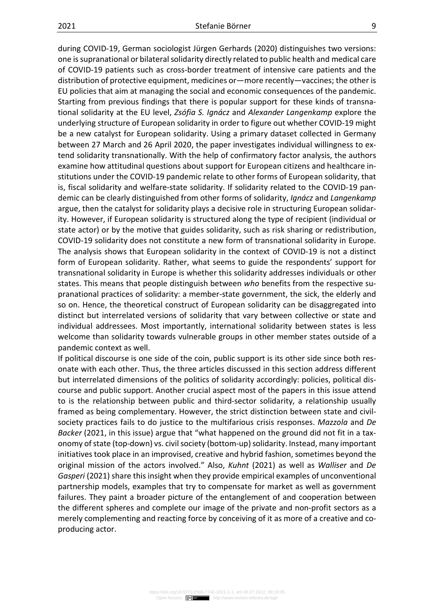during COVID-19, German sociologist Jürgen Gerhards (2020) distinguishes two versions: one is supranational or bilateral solidarity directly related to public health and medical care of COVID-19 patients such as cross-border treatment of intensive care patients and the distribution of protective equipment, medicines or—more recently—vaccines; the other is EU policies that aim at managing the social and economic consequences of the pandemic. Starting from previous findings that there is popular support for these kinds of transnational solidarity at the EU level, Zsófia S. Ignácz and Alexander Langenkamp explore the underlying structure of European solidarity in order to figure out whether COVID-19 might be a new catalyst for European solidarity. Using a primary dataset collected in Germany between 27 March and 26 April 2020, the paper investigates individual willingness to extend solidarity transnationally. With the help of confirmatory factor analysis, the authors examine how attitudinal questions about support for European citizens and healthcare institutions under the COVID-19 pandemic relate to other forms of European solidarity, that is, fiscal solidarity and welfare-state solidarity. If solidarity related to the COVID-19 pandemic can be clearly distinguished from other forms of solidarity, Ignácz and Langenkamp argue, then the catalyst for solidarity plays a decisive role in structuring European solidarity. However, if European solidarity is structured along the type of recipient (individual or state actor) or by the motive that guides solidarity, such as risk sharing or redistribution, COVID-19 solidarity does not constitute a new form of transnational solidarity in Europe. The analysis shows that European solidarity in the context of COVID-19 is not a distinct form of European solidarity. Rather, what seems to guide the respondents' support for transnational solidarity in Europe is whether this solidarity addresses individuals or other states. This means that people distinguish between who benefits from the respective supranational practices of solidarity: a member-state government, the sick, the elderly and so on. Hence, the theoretical construct of European solidarity can be disaggregated into distinct but interrelated versions of solidarity that vary between collective or state and individual addressees. Most importantly, international solidarity between states is less welcome than solidarity towards vulnerable groups in other member states outside of a pandemic context as well.

If political discourse is one side of the coin, public support is its other side since both resonate with each other. Thus, the three articles discussed in this section address different but interrelated dimensions of the politics of solidarity accordingly: policies, political discourse and public support. Another crucial aspect most of the papers in this issue attend to is the relationship between public and third-sector solidarity, a relationship usually framed as being complementary. However, the strict distinction between state and civilsociety practices fails to do justice to the multifarious crisis responses. Mazzola and De Backer (2021, in this issue) argue that "what happened on the ground did not fit in a taxonomy of state (top-down) vs. civil society (bottom-up) solidarity. Instead, many important initiatives took place in an improvised, creative and hybrid fashion, sometimes beyond the original mission of the actors involved." Also, Kuhnt (2021) as well as Walliser and De Gasperi (2021) share this insight when they provide empirical examples of unconventional partnership models, examples that try to compensate for market as well as government failures. They paint a broader picture of the entanglement of and cooperation between the different spheres and complete our image of the private and non-profit sectors as a merely complementing and reacting force by conceiving of it as more of a creative and coproducing actor.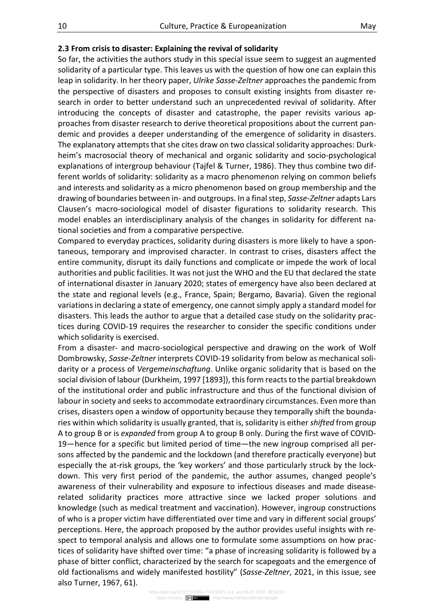#### 2.3 From crisis to disaster: Explaining the revival of solidarity

So far, the activities the authors study in this special issue seem to suggest an augmented solidarity of a particular type. This leaves us with the question of how one can explain this leap in solidarity. In her theory paper, Ulrike Sasse-Zeltner approaches the pandemic from the perspective of disasters and proposes to consult existing insights from disaster research in order to better understand such an unprecedented revival of solidarity. After introducing the concepts of disaster and catastrophe, the paper revisits various approaches from disaster research to derive theoretical propositions about the current pandemic and provides a deeper understanding of the emergence of solidarity in disasters. The explanatory attempts that she cites draw on two classical solidarity approaches: Durkheim's macrosocial theory of mechanical and organic solidarity and socio-psychological explanations of intergroup behaviour (Tajfel & Turner, 1986). They thus combine two different worlds of solidarity: solidarity as a macro phenomenon relying on common beliefs and interests and solidarity as a micro phenomenon based on group membership and the drawing of boundaries between in- and outgroups. In a final step, Sasse-Zeltner adapts Lars Clausen's macro-sociological model of disaster figurations to solidarity research. This model enables an interdisciplinary analysis of the changes in solidarity for different national societies and from a comparative perspective.

Compared to everyday practices, solidarity during disasters is more likely to have a spontaneous, temporary and improvised character. In contrast to crises, disasters affect the entire community, disrupt its daily functions and complicate or impede the work of local authorities and public facilities. It was not just the WHO and the EU that declared the state of international disaster in January 2020; states of emergency have also been declared at the state and regional levels (e.g., France, Spain; Bergamo, Bavaria). Given the regional variations in declaring a state of emergency, one cannot simply apply a standard model for disasters. This leads the author to argue that a detailed case study on the solidarity practices during COVID-19 requires the researcher to consider the specific conditions under which solidarity is exercised.

From a disaster- and macro-sociological perspective and drawing on the work of Wolf Dombrowsky, Sasse-Zeltner interprets COVID-19 solidarity from below as mechanical solidarity or a process of Vergemeinschaftung. Unlike organic solidarity that is based on the social division of labour (Durkheim, 1997 [1893]), this form reacts to the partial breakdown of the institutional order and public infrastructure and thus of the functional division of labour in society and seeks to accommodate extraordinary circumstances. Even more than crises, disasters open a window of opportunity because they temporally shift the boundaries within which solidarity is usually granted, that is, solidarity is either shifted from group A to group B or is expanded from group A to group B only. During the first wave of COVID-19—hence for a specific but limited period of time—the new ingroup comprised all persons affected by the pandemic and the lockdown (and therefore practically everyone) but especially the at-risk groups, the 'key workers' and those particularly struck by the lockdown. This very first period of the pandemic, the author assumes, changed people's awareness of their vulnerability and exposure to infectious diseases and made diseaserelated solidarity practices more attractive since we lacked proper solutions and knowledge (such as medical treatment and vaccination). However, ingroup constructions of who is a proper victim have differentiated over time and vary in different social groups' perceptions. Here, the approach proposed by the author provides useful insights with respect to temporal analysis and allows one to formulate some assumptions on how practices of solidarity have shifted over time: "a phase of increasing solidarity is followed by a phase of bitter conflict, characterized by the search for scapegoats and the emergence of old factionalisms and widely manifested hostility" (Sasse-Zeltner, 2021, in this issue, see also Turner, 1967, 61).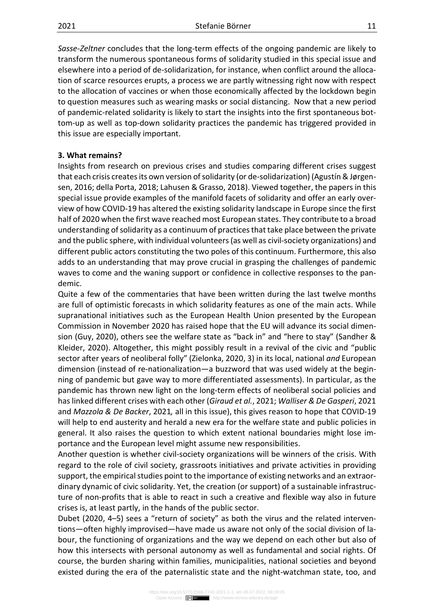Sasse-Zeltner concludes that the long-term effects of the ongoing pandemic are likely to transform the numerous spontaneous forms of solidarity studied in this special issue and elsewhere into a period of de-solidarization, for instance, when conflict around the allocation of scarce resources erupts, a process we are partly witnessing right now with respect to the allocation of vaccines or when those economically affected by the lockdown begin to question measures such as wearing masks or social distancing. Now that a new period of pandemic-related solidarity is likely to start the insights into the first spontaneous bottom-up as well as top-down solidarity practices the pandemic has triggered provided in this issue are especially important.

### 3. What remains?

Insights from research on previous crises and studies comparing different crises suggest that each crisis creates its own version of solidarity (or de-solidarization) (Agustín & Jørgensen, 2016; della Porta, 2018; Lahusen & Grasso, 2018). Viewed together, the papers in this special issue provide examples of the manifold facets of solidarity and offer an early overview of how COVID-19 has altered the existing solidarity landscape in Europe since the first half of 2020 when the first wave reached most European states. They contribute to a broad understanding of solidarity as a continuum of practices that take place between the private and the public sphere, with individual volunteers (as well as civil-society organizations) and different public actors constituting the two poles of this continuum. Furthermore, this also adds to an understanding that may prove crucial in grasping the challenges of pandemic waves to come and the waning support or confidence in collective responses to the pandemic.

Quite a few of the commentaries that have been written during the last twelve months are full of optimistic forecasts in which solidarity features as one of the main acts. While supranational initiatives such as the European Health Union presented by the European Commission in November 2020 has raised hope that the EU will advance its social dimension (Guy, 2020), others see the welfare state as "back in" and "here to stay" (Sandher & Kleider, 2020). Altogether, this might possibly result in a revival of the civic and "public sector after years of neoliberal folly" (Zielonka, 2020, 3) in its local, national and European dimension (instead of re-nationalization—a buzzword that was used widely at the beginning of pandemic but gave way to more differentiated assessments). In particular, as the pandemic has thrown new light on the long-term effects of neoliberal social policies and has linked different crises with each other (Giraud et al., 2021; Walliser & De Gasperi, 2021 and Mazzola & De Backer, 2021, all in this issue), this gives reason to hope that COVID-19 will help to end austerity and herald a new era for the welfare state and public policies in general. It also raises the question to which extent national boundaries might lose importance and the European level might assume new responsibilities.

Another question is whether civil-society organizations will be winners of the crisis. With regard to the role of civil society, grassroots initiatives and private activities in providing support, the empirical studies point to the importance of existing networks and an extraordinary dynamic of civic solidarity. Yet, the creation (or support) of a sustainable infrastructure of non-profits that is able to react in such a creative and flexible way also in future crises is, at least partly, in the hands of the public sector.

Dubet (2020, 4–5) sees a "return of society" as both the virus and the related interventions—often highly improvised—have made us aware not only of the social division of labour, the functioning of organizations and the way we depend on each other but also of how this intersects with personal autonomy as well as fundamental and social rights. Of course, the burden sharing within families, municipalities, national societies and beyond existed during the era of the paternalistic state and the night-watchman state, too, and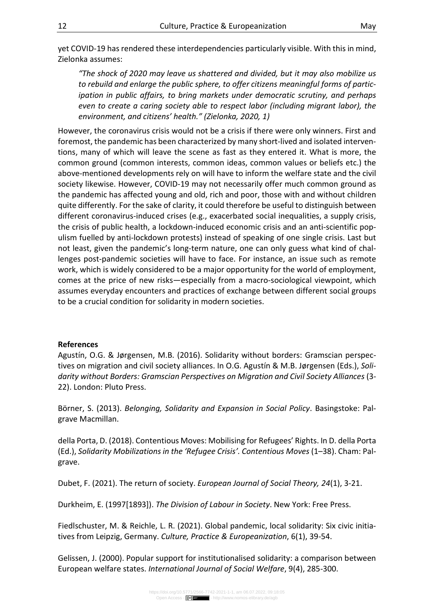yet COVID-19 has rendered these interdependencies particularly visible. With this in mind, Zielonka assumes:

"The shock of 2020 may leave us shattered and divided, but it may also mobilize us to rebuild and enlarge the public sphere, to offer citizens meaningful forms of participation in public affairs, to bring markets under democratic scrutiny, and perhaps even to create a caring society able to respect labor (including migrant labor), the environment, and citizens' health." (Zielonka, 2020, 1)

However, the coronavirus crisis would not be a crisis if there were only winners. First and foremost, the pandemic has been characterized by many short-lived and isolated interventions, many of which will leave the scene as fast as they entered it. What is more, the common ground (common interests, common ideas, common values or beliefs etc.) the above-mentioned developments rely on will have to inform the welfare state and the civil society likewise. However, COVID-19 may not necessarily offer much common ground as the pandemic has affected young and old, rich and poor, those with and without children quite differently. For the sake of clarity, it could therefore be useful to distinguish between different coronavirus-induced crises (e.g., exacerbated social inequalities, a supply crisis, the crisis of public health, a lockdown-induced economic crisis and an anti-scientific populism fuelled by anti-lockdown protests) instead of speaking of one single crisis. Last but not least, given the pandemic's long-term nature, one can only guess what kind of challenges post-pandemic societies will have to face. For instance, an issue such as remote work, which is widely considered to be a major opportunity for the world of employment, comes at the price of new risks—especially from a macro-sociological viewpoint, which assumes everyday encounters and practices of exchange between different social groups to be a crucial condition for solidarity in modern societies.

#### References

Agustín, O.G. & Jørgensen, M.B. (2016). Solidarity without borders: Gramscian perspectives on migration and civil society alliances. In O.G. Agustín & M.B. Jørgensen (Eds.), Solidarity without Borders: Gramscian Perspectives on Migration and Civil Society Alliances (3- 22). London: Pluto Press.

Börner, S. (2013). Belonging, Solidarity and Expansion in Social Policy. Basingstoke: Palgrave Macmillan.

della Porta, D. (2018). Contentious Moves: Mobilising for Refugees' Rights. In D. della Porta (Ed.), Solidarity Mobilizations in the 'Refugee Crisis'. Contentious Moves (1–38). Cham: Palgrave.

Dubet, F. (2021). The return of society. *European Journal of Social Theory, 24*(1), 3-21.

Durkheim, E. (1997[1893]). The Division of Labour in Society. New York: Free Press.

Fiedlschuster, M. & Reichle, L. R. (2021). Global pandemic, local solidarity: Six civic initiatives from Leipzig, Germany. Culture, Practice & Europeanization, 6(1), 39-54.

Gelissen, J. (2000). Popular support for institutionalised solidarity: a comparison between European welfare states. International Journal of Social Welfare, 9(4), 285-300.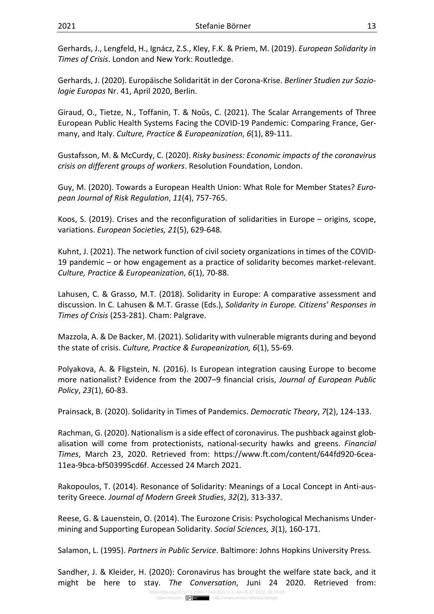Gerhards, J., Lengfeld, H., Ignácz, Z.S., Kley, F.K. & Priem, M. (2019). European Solidarity in Times of Crisis. London and New York: Routledge.

Gerhards, J. (2020). Europäische Solidarität in der Corona-Krise. Berliner Studien zur Soziologie Europas Nr. 41, April 2020, Berlin.

Giraud, O., Tietze, N., Toffanin, T. & Noûs, C. (2021). The Scalar Arrangements of Three European Public Health Systems Facing the COVID-19 Pandemic: Comparing France, Germany, and Italy. Culture, Practice & Europeanization, 6(1), 89-111.

Gustafsson, M. & McCurdy, C. (2020). Risky business: Economic impacts of the coronavirus crisis on different groups of workers. Resolution Foundation, London.

Guy, M. (2020). Towards a European Health Union: What Role for Member States? European Journal of Risk Regulation, 11(4), 757-765.

Koos, S. (2019). Crises and the reconfiguration of solidarities in Europe – origins, scope, variations. European Societies, 21(5), 629-648.

Kuhnt, J. (2021). The network function of civil society organizations in times of the COVID-19 pandemic – or how engagement as a practice of solidarity becomes market-relevant. Culture, Practice & Europeanization, 6(1), 70-88.

Lahusen, C. & Grasso, M.T. (2018). Solidarity in Europe: A comparative assessment and discussion. In C. Lahusen & M.T. Grasse (Eds.), Solidarity in Europe. Citizens' Responses in Times of Crisis (253-281). Cham: Palgrave.

Mazzola, A. & De Backer, M. (2021). Solidarity with vulnerable migrants during and beyond the state of crisis. Culture, Practice & Europeanization, 6(1), 55-69.

Polyakova, A. & Fligstein, N. (2016). Is European integration causing Europe to become more nationalist? Evidence from the 2007–9 financial crisis, Journal of European Public Policy, 23(1), 60-83.

Prainsack, B. (2020). Solidarity in Times of Pandemics. Democratic Theory, 7(2), 124-133.

Rachman, G. (2020). Nationalism is a side effect of coronavirus. The pushback against globalisation will come from protectionists, national-security hawks and greens. Financial Times, March 23, 2020. Retrieved from: https://www.ft.com/content/644fd920-6cea-11ea-9bca-bf503995cd6f. Accessed 24 March 2021.

Rakopoulos, T. (2014). Resonance of Solidarity: Meanings of a Local Concept in Anti-austerity Greece. Journal of Modern Greek Studies, 32(2), 313-337.

Reese, G. & Lauenstein, O. (2014). The Eurozone Crisis: Psychological Mechanisms Undermining and Supporting European Solidarity. Social Sciences, 3(1), 160-171.

Salamon, L. (1995). Partners in Public Service. Baltimore: Johns Hopkins University Press.

Sandher, J. & Kleider, H. (2020): Coronavirus has brought the welfare state back, and it might be here to stay. The Conversation, Juni 24 2020. Retrieved from: